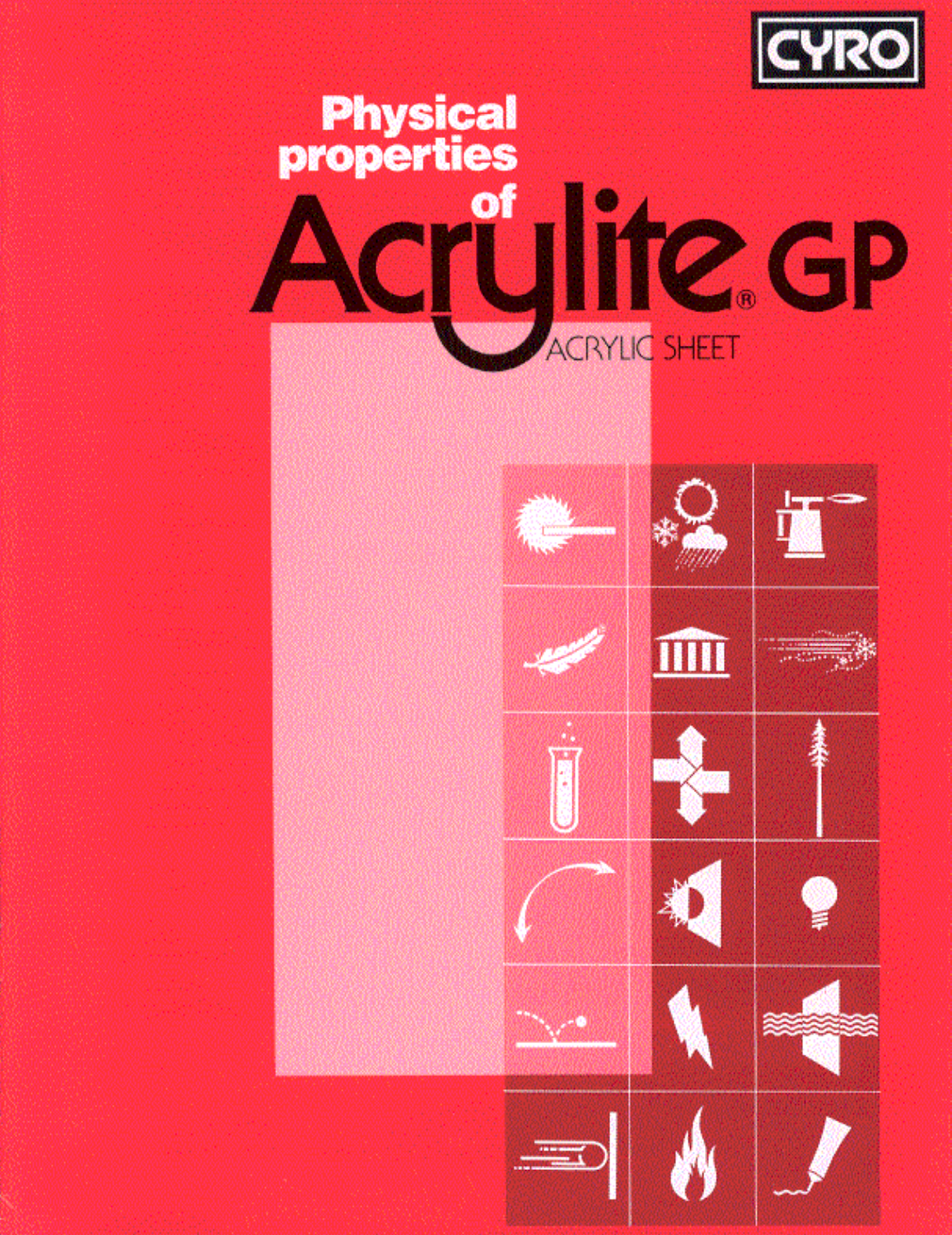

# **Physical**<br>properties d lite GP ACRYLIC SHEET

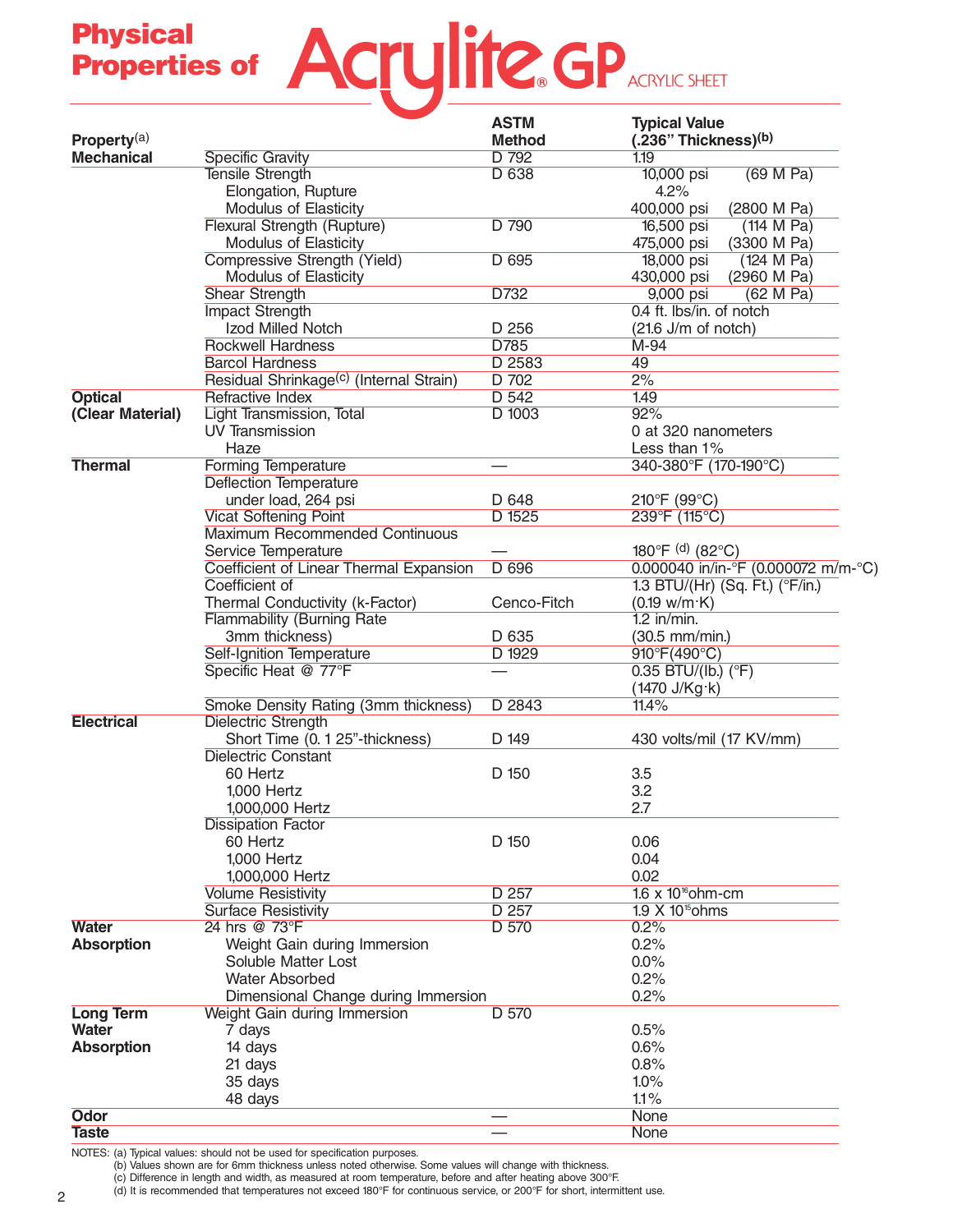## **Physical Properties of**

| Property $(a)$    |                                                     | <b>ASTM</b><br><b>Method</b> | <b>Typical Value</b><br>$(.236"$ Thickness $)(b)$ |
|-------------------|-----------------------------------------------------|------------------------------|---------------------------------------------------|
| <b>Mechanical</b> | <b>Specific Gravity</b>                             | D 792                        | 1.19                                              |
|                   | Tensile Strength<br>Elongation, Rupture             | D 638                        | 10,000 psi<br>(69 M Pa)<br>4.2%                   |
|                   | <b>Modulus of Elasticity</b>                        |                              | 400,000 psi<br>(2800 M Pa)                        |
|                   | Flexural Strength (Rupture)                         | D 790                        | 16,500 psi<br>(114 M Pa)                          |
|                   | <b>Modulus of Elasticity</b>                        |                              | 475,000 psi<br>(3300 M Pa)                        |
|                   | Compressive Strength (Yield)                        | D 695                        | 18,000 psi<br>(124 M Pa)                          |
|                   | <b>Modulus of Elasticity</b>                        |                              | (2960 M Pa)<br>430,000 psi                        |
|                   | <b>Shear Strength</b>                               | D732                         | 9,000 psi<br>(62 M Pa)                            |
|                   | <b>Impact Strength</b>                              |                              | 0.4 ft. lbs/in. of notch                          |
|                   | Izod Milled Notch                                   | D 256                        | $(21.6$ J/m of notch)                             |
|                   | <b>Rockwell Hardness</b>                            | D785                         | $M-94$                                            |
|                   | <b>Barcol Hardness</b>                              | D 2583                       | 49                                                |
|                   | Residual Shrinkage <sup>(c)</sup> (Internal Strain) | D 702                        | 2%                                                |
| <b>Optical</b>    | Refractive Index                                    | D <sub>542</sub>             | 1.49                                              |
| (Clear Material)  | Light Transmission, Total                           | D 1003                       | 92%                                               |
|                   |                                                     |                              | 0 at 320 nanometers                               |
|                   | <b>UV Transmission</b>                              |                              |                                                   |
|                   | Haze                                                |                              | Less than $1\%$                                   |
| <b>Thermal</b>    | <b>Forming Temperature</b>                          |                              | 340-380°F (170-190°C)                             |
|                   | <b>Deflection Temperature</b>                       |                              |                                                   |
|                   | under load, 264 psi                                 | D 648                        | 210°F (99°C)                                      |
|                   | <b>Vicat Softening Point</b>                        | D 1525                       | 239°F (115°C)                                     |
|                   | Maximum Recommended Continuous                      |                              |                                                   |
|                   | Service Temperature                                 |                              | 180°F (d) (82°C)                                  |
|                   | Coefficient of Linear Thermal Expansion             | D 696                        | 0.000040 in/in-°F (0.000072 m/m-°C)               |
|                   | Coefficient of                                      |                              | 1.3 BTU/(Hr) (Sq. Ft.) (°F/in.)                   |
|                   | Thermal Conductivity (k-Factor)                     | Cenco-Fitch                  | $(0.19 \text{ w/m} \cdot \text{K})$               |
|                   | <b>Flammability (Burning Rate)</b>                  |                              | $1.2$ in/min.                                     |
|                   | 3mm thickness)                                      | D 635                        | $(30.5 \, \text{mm/min})$                         |
|                   | Self-Ignition Temperature                           | D 1929                       | 910°F(490°C)                                      |
|                   | Specific Heat @ 77°F                                |                              | 0.35 BTU/(lb.) $(^{\circ}F)$                      |
|                   |                                                     |                              | (1470 J/Kg·k)                                     |
|                   | Smoke Density Rating (3mm thickness)                | D 2843                       | 11.4%                                             |
| <b>Electrical</b> | <b>Dielectric Strength</b>                          |                              |                                                   |
|                   | Short Time (0. 1 25"-thickness)                     | D 149                        | 430 volts/mil (17 KV/mm)                          |
|                   | <b>Dielectric Constant</b>                          |                              |                                                   |
|                   | 60 Hertz                                            | D 150                        | 3.5                                               |
|                   | 1,000 Hertz                                         |                              | 3.2                                               |
|                   | 1,000,000 Hertz                                     |                              | 2.7                                               |
|                   | <b>Dissipation Factor</b>                           |                              |                                                   |
|                   | 60 Hertz                                            | D 150                        | 0.06                                              |
|                   | 1,000 Hertz                                         |                              | 0.04                                              |
|                   | 1,000,000 Hertz                                     |                              | 0.02                                              |
|                   | <b>Volume Resistivity</b>                           | D <sub>257</sub>             | $1.6 \times 10^{16}$ ohm-cm                       |
|                   | <b>Surface Resistivity</b>                          | D <sub>257</sub>             | 1.9 X 10 <sup>15</sup> ohms                       |
| <b>Water</b>      | 24 hrs @ 73°F                                       | D 570                        | 0.2%                                              |
| <b>Absorption</b> | Weight Gain during Immersion                        |                              | 0.2%                                              |
|                   | Soluble Matter Lost                                 |                              | 0.0%                                              |
|                   | <b>Water Absorbed</b>                               |                              | 0.2%                                              |
|                   | Dimensional Change during Immersion                 |                              | 0.2%                                              |
| <b>Long Term</b>  | Weight Gain during Immersion                        | D 570                        |                                                   |
| Water             | 7 days                                              |                              | 0.5%                                              |
| <b>Absorption</b> |                                                     |                              | 0.6%                                              |
|                   | 14 days                                             |                              | 0.8%                                              |
|                   | 21 days                                             |                              |                                                   |
|                   | 35 days                                             |                              | 1.0%                                              |
|                   | 48 days                                             |                              | 1.1%                                              |
| <b>Odor</b>       |                                                     |                              | None                                              |
| <b>Taste</b>      |                                                     |                              | <b>None</b>                                       |

NOTES: (a) Typical values: should not be used for specification purposes.

(b) Values shown are for 6mm thickness unless noted otherwise. Some values will change with thickness.

(c) Difference in length and width, as measured at room temperature, before and after heating above 300°F.

(d) It is recommended that temperatures not exceed 180°F for continuous service, or 200°F for short, intermittent use.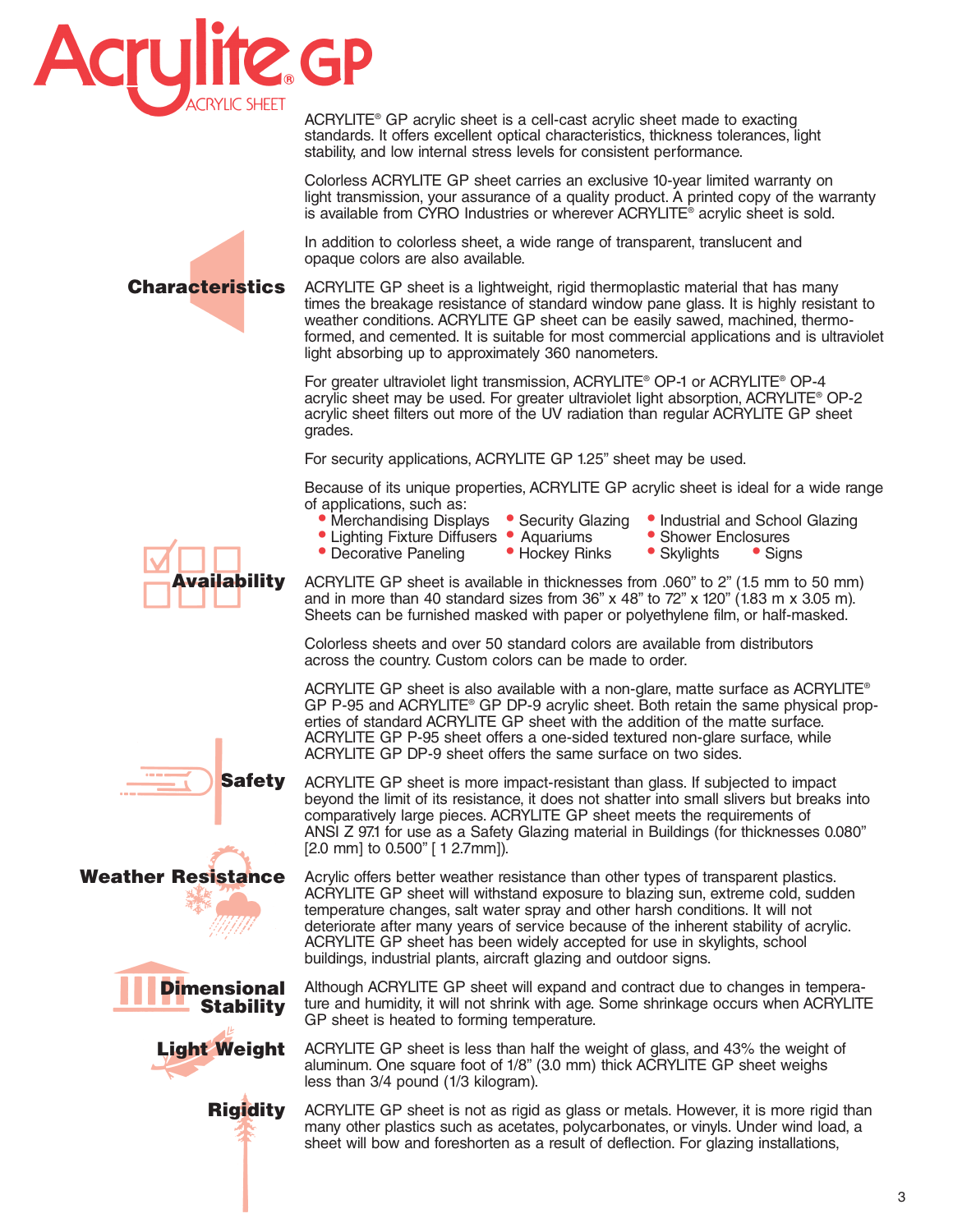

ACRYLITE® GP acrylic sheet is a cell-cast acrylic sheet made to exacting standards. It offers excellent optical characteristics, thickness tolerances, light stability, and low internal stress levels for consistent performance.

Colorless ACRYLITE GP sheet carries an exclusive 10-year limited warranty on light transmission, your assurance of a quality product. A printed copy of the warranty is available from CYRO Industries or wherever ACRYLITE® acrylic sheet is sold.

In addition to colorless sheet, a wide range of transparent, translucent and opaque colors are also available.

## **Characteristics**

ACRYLITE GP sheet is a lightweight, rigid thermoplastic material that has many times the breakage resistance of standard window pane glass. It is highly resistant to weather conditions. ACRYLITE GP sheet can be easily sawed, machined, thermoformed, and cemented. It is suitable for most commercial applications and is ultraviolet light absorbing up to approximately 360 nanometers.

For greater ultraviolet light transmission, ACRYLITE® OP-1 or ACRYLITE® OP-4 acrylic sheet may be used. For greater ultraviolet light absorption, ACRYLITE® OP-2 acrylic sheet filters out more of the UV radiation than regular ACRYLITE GP sheet grades.

For security applications, ACRYLITE GP 1.25" sheet may be used.

Because of its unique properties, ACRYLITE GP acrylic sheet is ideal for a wide range of applications, such as:

- Merchandising Displays Security Glazing Industrial and School Glazing Lighting Fixture Diffusers Aquariums Shower Enclosures
	-
- Decorative Paneling
- Lighting Fixture Diffusers Aquariums Shower Enclosures<br>• Decorative Paneling Hockey Rinks Skylights Signs
	-

ACRYLITE GP sheet is available in thicknesses from .060" to 2" (1.5 mm to 50 mm) and in more than 40 standard sizes from 36" x 48" to 72" x 120" (1.83 m x 3.05 m). Sheets can be furnished masked with paper or polyethylene film, or half-masked.

Colorless sheets and over 50 standard colors are available from distributors across the country. Custom colors can be made to order.

ACRYLITE GP sheet is also available with a non-glare, matte surface as ACRYLITE® GP P-95 and ACRYLITE® GP DP-9 acrylic sheet. Both retain the same physical properties of standard ACRYLITE GP sheet with the addition of the matte surface. ACRYLITE GP P-95 sheet offers a one-sided textured non-glare surface, while ACRYLITE GP DP-9 sheet offers the same surface on two sides.

ACRYLITE GP sheet is more impact-resistant than glass. If subjected to impact beyond the limit of its resistance, it does not shatter into small slivers but breaks into comparatively large pieces. ACRYLITE GP sheet meets the requirements of ANSI Z 97.1 for use as a Safety Glazing material in Buildings (for thicknesses 0.080" [2.0 mm] to 0.500" [ 1 2.7mm]).

Acrylic offers better weather resistance than other types of transparent plastics. ACRYLITE GP sheet will withstand exposure to blazing sun, extreme cold, sudden temperature changes, salt water spray and other harsh conditions. It will not deteriorate after many years of service because of the inherent stability of acrylic. ACRYLITE GP sheet has been widely accepted for use in skylights, school buildings, industrial plants, aircraft glazing and outdoor signs.

Although ACRYLITE GP sheet will expand and contract due to changes in temperature and humidity, it will not shrink with age. Some shrinkage occurs when ACRYLITE GP sheet is heated to forming temperature.

ACRYLITE GP sheet is less than half the weight of glass, and 43% the weight of aluminum. One square foot of 1/8" (3.0 mm) thick ACRYLITE GP sheet weighs less than 3/4 pound (1/3 kilogram).

ACRYLITE GP sheet is not as rigid as glass or metals. However, it is more rigid than many other plastics such as acetates, polycarbonates, or vinyls. Under wind load, a sheet will bow and foreshorten as a result of deflection. For glazing installations,



**Safety**





**Rigidity**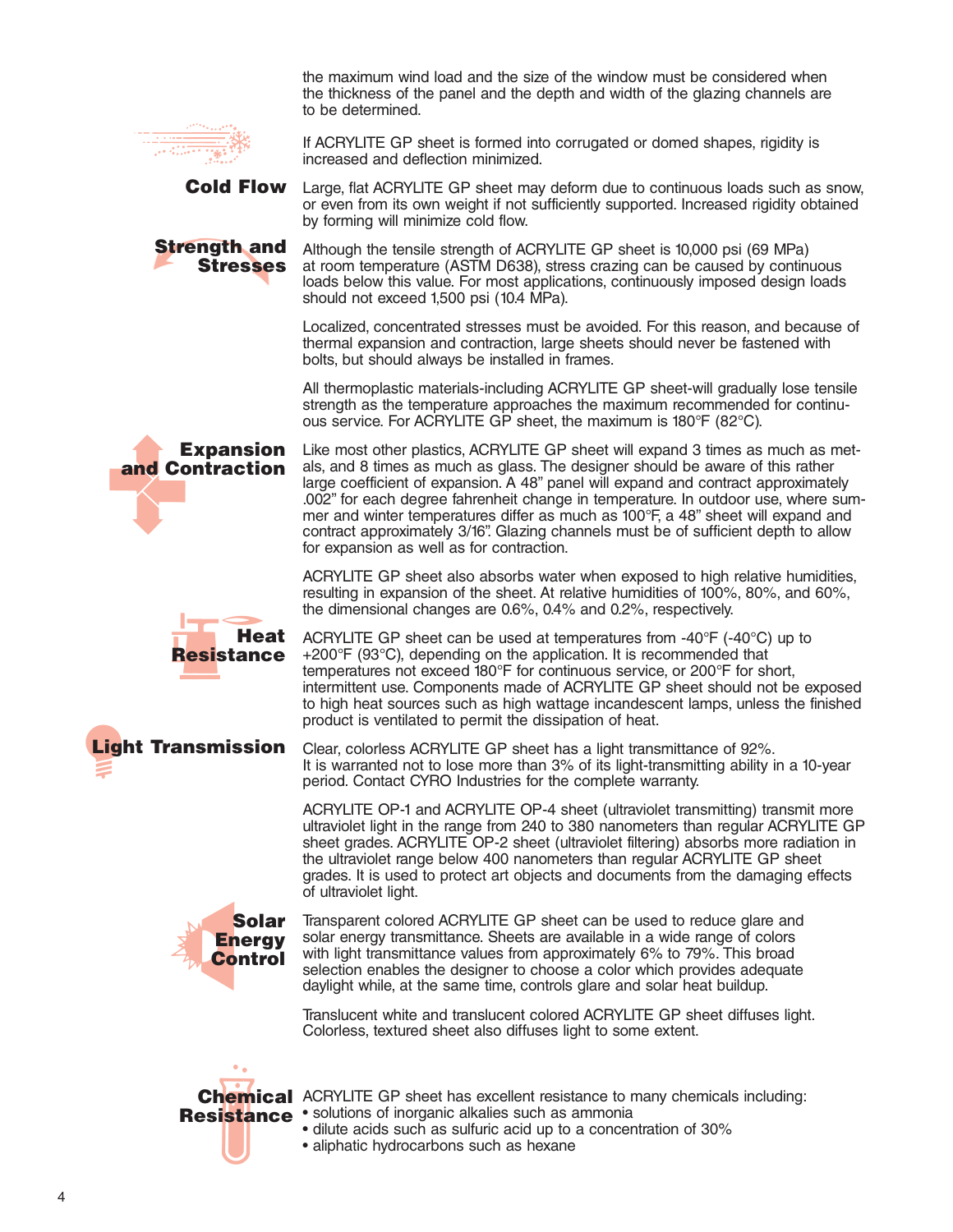

the maximum wind load and the size of the window must be considered when the thickness of the panel and the depth and width of the glazing channels are to be determined.

If ACRYLITE GP sheet is formed into corrugated or domed shapes, rigidity is increased and deflection minimized.

Large, flat ACRYLITE GP sheet may deform due to continuous loads such as snow, or even from its own weight if not sufficiently supported. Increased rigidity obtained by forming will minimize cold flow. **Cold Flow**

**Strength and Stresses**

Although the tensile strength of ACRYLITE GP sheet is 10,000 psi (69 MPa) at room temperature (ASTM D638), stress crazing can be caused by continuous loads below this value. For most applications, continuously imposed design loads should not exceed 1,500 psi (10.4 MPa).

Localized, concentrated stresses must be avoided. For this reason, and because of thermal expansion and contraction, large sheets should never be fastened with bolts, but should always be installed in frames.

All thermoplastic materials-including ACRYLITE GP sheet-will gradually lose tensile strength as the temperature approaches the maximum recommended for continuous service. For ACRYLITE GP sheet, the maximum is 180°F (82°C).

Like most other plastics, ACRYLITE GP sheet will expand 3 times as much as metals, and 8 times as much as glass. The designer should be aware of this rather large coefficient of expansion. A 48" panel will expand and contract approximately .002" for each degree fahrenheit change in temperature. In outdoor use, where summer and winter temperatures differ as much as 100°F, a 48" sheet will expand and contract approximately 3/16". Glazing channels must be of sufficient depth to allow for expansion as well as for contraction. **Expansion and Contraction**

> ACRYLITE GP sheet also absorbs water when exposed to high relative humidities, resulting in expansion of the sheet. At relative humidities of 100%, 80%, and 60%, the dimensional changes are 0.6%, 0.4% and 0.2%, respectively.

**Heat Resistance**



ACRYLITE GP sheet can be used at temperatures from -40°F (-40°C) up to +200°F (93°C), depending on the application. It is recommended that temperatures not exceed 180°F for continuous service, or 200°F for short, intermittent use. Components made of ACRYLITE GP sheet should not be exposed to high heat sources such as high wattage incandescent lamps, unless the finished product is ventilated to permit the dissipation of heat.

Clear, colorless ACRYLITE GP sheet has a light transmittance of 92%. It is warranted not to lose more than 3% of its light-transmitting ability in a 10-year period. Contact CYRO Industries for the complete warranty.

ACRYLITE OP-1 and ACRYLITE OP-4 sheet (ultraviolet transmitting) transmit more ultraviolet light in the range from 240 to 380 nanometers than regular ACRYLITE GP sheet grades. ACRYLITE OP-2 sheet (ultraviolet filtering) absorbs more radiation in the ultraviolet range below 400 nanometers than regular ACRYLITE GP sheet grades. It is used to protect art objects and documents from the damaging effects of ultraviolet light.



Transparent colored ACRYLITE GP sheet can be used to reduce glare and solar energy transmittance. Sheets are available in a wide range of colors with light transmittance values from approximately 6% to 79%. This broad selection enables the designer to choose a color which provides adequate daylight while, at the same time, controls glare and solar heat buildup.

Translucent white and translucent colored ACRYLITE GP sheet diffuses light. Colorless, textured sheet also diffuses light to some extent.



**Chemical** ACRYLITE GP sheet has excellent resistance to many chemicals including:

- **Resistance** solutions of inorganic alkalies such as ammonia • dilute acids such as sulfuric acid up to a concentration of 30%
	- aliphatic hydrocarbons such as hexane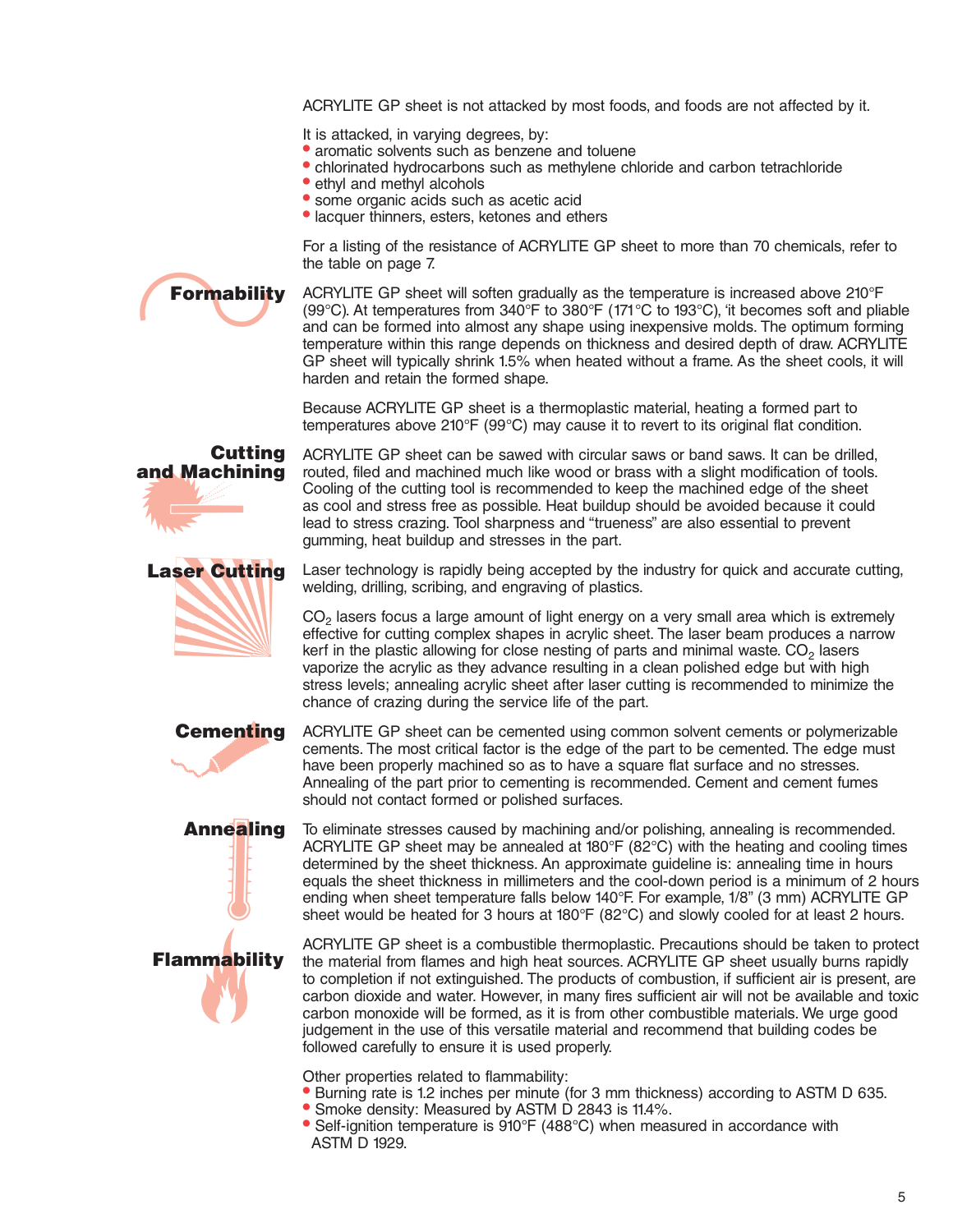ACRYLITE GP sheet is not attacked by most foods, and foods are not affected by it.

It is attacked, in varying degrees, by:

- aromatic solvents such as benzene and toluene
- chlorinated hydrocarbons such as methylene chloride and carbon tetrachloride
- ethyl and methyl alcohols
- some organic acids such as acetic acid
- lacquer thinners, esters, ketones and ethers

For a listing of the resistance of ACRYLITE GP sheet to more than 70 chemicals, refer to the table on page 7.

ACRYLITE GP sheet will soften gradually as the temperature is increased above 210°F (99°C). At temperatures from 340°F to 380°F (171°C to 193°C), 'it becomes soft and pliable and can be formed into almost any shape using inexpensive molds. The optimum forming temperature within this range depends on thickness and desired depth of draw. ACRYLITE GP sheet will typically shrink 1.5% when heated without a frame. As the sheet cools, it will harden and retain the formed shape. **Formability**

> Because ACRYLITE GP sheet is a thermoplastic material, heating a formed part to temperatures above 210°F (99°C) may cause it to revert to its original flat condition.

**Cutting and Machining**



**Flammability**



Laser technology is rapidly being accepted by the industry for quick and accurate cutting, welding, drilling, scribing, and engraving of plastics.

 $CO<sub>2</sub>$  lasers focus a large amount of light energy on a very small area which is extremely effective for cutting complex shapes in acrylic sheet. The laser beam produces a narrow kerf in the plastic allowing for close nesting of parts and minimal waste.  $CO<sub>2</sub>$  lasers vaporize the acrylic as they advance resulting in a clean polished edge but with high stress levels; annealing acrylic sheet after laser cutting is recommended to minimize the chance of crazing during the service life of the part.

ACRYLITE GP sheet can be cemented using common solvent cements or polymerizable cements. The most critical factor is the edge of the part to be cemented. The edge must have been properly machined so as to have a square flat surface and no stresses. Annealing of the part prior to cementing is recommended. Cement and cement fumes should not contact formed or polished surfaces. **Cementing**

To eliminate stresses caused by machining and/or polishing, annealing is recommended. ACRYLITE GP sheet may be annealed at 180°F (82°C) with the heating and cooling times determined by the sheet thickness. An approximate guideline is: annealing time in hours equals the sheet thickness in millimeters and the cool-down period is a minimum of 2 hours ending when sheet temperature falls below 140°F. For example, 1/8" (3 mm) ACRYLITE GP sheet would be heated for 3 hours at 180°F (82°C) and slowly cooled for at least 2 hours. **Annealing**

> ACRYLITE GP sheet is a combustible thermoplastic. Precautions should be taken to protect the material from flames and high heat sources. ACRYLITE GP sheet usually burns rapidly to completion if not extinguished. The products of combustion, if sufficient air is present, are carbon dioxide and water. However, in many fires sufficient air will not be available and toxic carbon monoxide will be formed, as it is from other combustible materials. We urge good judgement in the use of this versatile material and recommend that building codes be followed carefully to ensure it is used properly.

Other properties related to flammability:

- Burning rate is 1.2 inches per minute (for 3 mm thickness) according to ASTM D 635.
- Smoke density: Measured by ASTM D 2843 is 11.4%.

• Self-ignition temperature is 910°F (488°C) when measured in accordance with ASTM D 1929.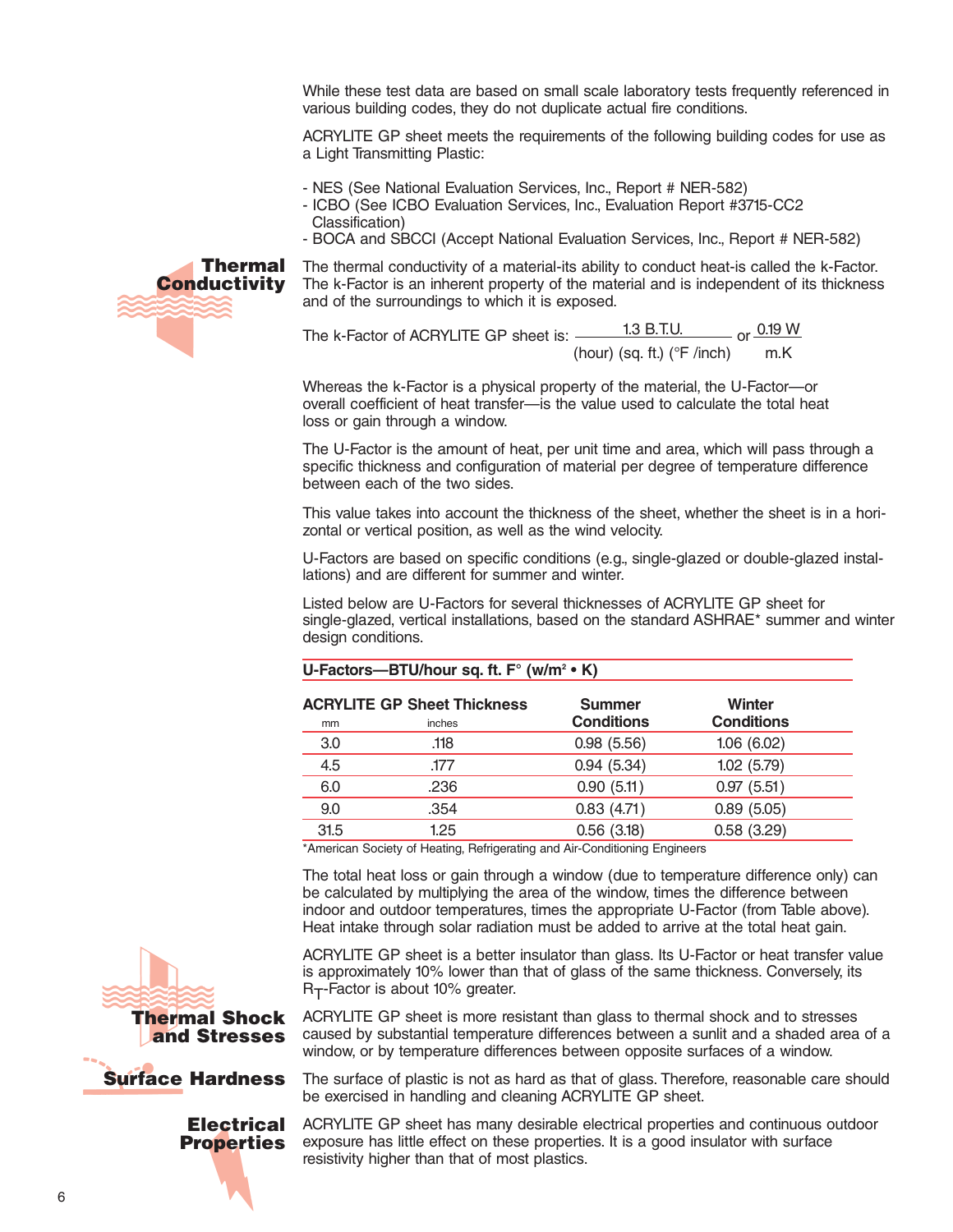While these test data are based on small scale laboratory tests frequently referenced in various building codes, they do not duplicate actual fire conditions.

ACRYLITE GP sheet meets the requirements of the following building codes for use as a Light Transmitting Plastic:

- NES (See National Evaluation Services, Inc., Report # NER-582)
- ICBO (See ICBO Evaluation Services, Inc., Evaluation Report #3715-CC2 Classification)
- BOCA and SBCCI (Accept National Evaluation Services, Inc., Report # NER-582)



The thermal conductivity of a material-its ability to conduct heat-is called the k-Factor. The k-Factor is an inherent property of the material and is independent of its thickness and of the surroundings to which it is exposed.

The k-Factor of ACRYLITE GP sheet is:  $\frac{1.3 \text{ B.T.U.}}{200 \text{ N}}$  or  $\frac{0.19 \text{ W}}{200 \text{ N}}$ (hour) (sq. ft.) (°F /inch) m.K

Whereas the k-Factor is a physical property of the material, the U-Factor—or overall coefficient of heat transfer—is the value used to calculate the total heat loss or gain through a window.

The U-Factor is the amount of heat, per unit time and area, which will pass through a specific thickness and configuration of material per degree of temperature difference between each of the two sides.

This value takes into account the thickness of the sheet, whether the sheet is in a horizontal or vertical position, as well as the wind velocity.

U-Factors are based on specific conditions (e.g., single-glazed or double-glazed installations) and are different for summer and winter.

Listed below are U-Factors for several thicknesses of ACRYLITE GP sheet for single-glazed, vertical installations, based on the standard ASHRAE\* summer and winter design conditions.

| <b>ACRYLITE GP Sheet Thickness</b> | <b>Summer</b>     | Winter            |  |
|------------------------------------|-------------------|-------------------|--|
| inches                             | <b>Conditions</b> | <b>Conditions</b> |  |
| .118                               | 0.98(5.56)        | 1.06(6.02)        |  |
| .177                               | 0.94(5.34)        | 1.02(5.79)        |  |
| .236                               | 0.90(5.11)        | 0.97(5.51)        |  |
| .354                               | 0.83(4.71)        | 0.89(5.05)        |  |
| 1.25                               | 0.56(3.18)        | 0.58(3.29)        |  |
|                                    |                   |                   |  |

### **U-Factors—BTU/hour sq. ft. F° (w/m2 • K)**

\*American Society of Heating, Refrigerating and Air-Conditioning Engineers

The total heat loss or gain through a window (due to temperature difference only) can be calculated by multiplying the area of the window, times the difference between indoor and outdoor temperatures, times the appropriate U-Factor (from Table above). Heat intake through solar radiation must be added to arrive at the total heat gain.

ACRYLITE GP sheet is a better insulator than glass. Its U-Factor or heat transfer value is approximately 10% lower than that of glass of the same thickness. Conversely, its  $R_T$ -Factor is about 10% greater.

ACRYLITE GP sheet is more resistant than glass to thermal shock and to stresses caused by substantial temperature differences between a sunlit and a shaded area of a window, or by temperature differences between opposite surfaces of a window.

The surface of plastic is not as hard as that of glass. Therefore, reasonable care should be exercised in handling and cleaning ACRYLITE GP sheet.

ACRYLITE GP sheet has many desirable electrical properties and continuous outdoor exposure has little effect on these properties. It is a good insulator with surface resistivity higher than that of most plastics.



**and Stresses**

## **Surface Hardness**

**Electrical Properties**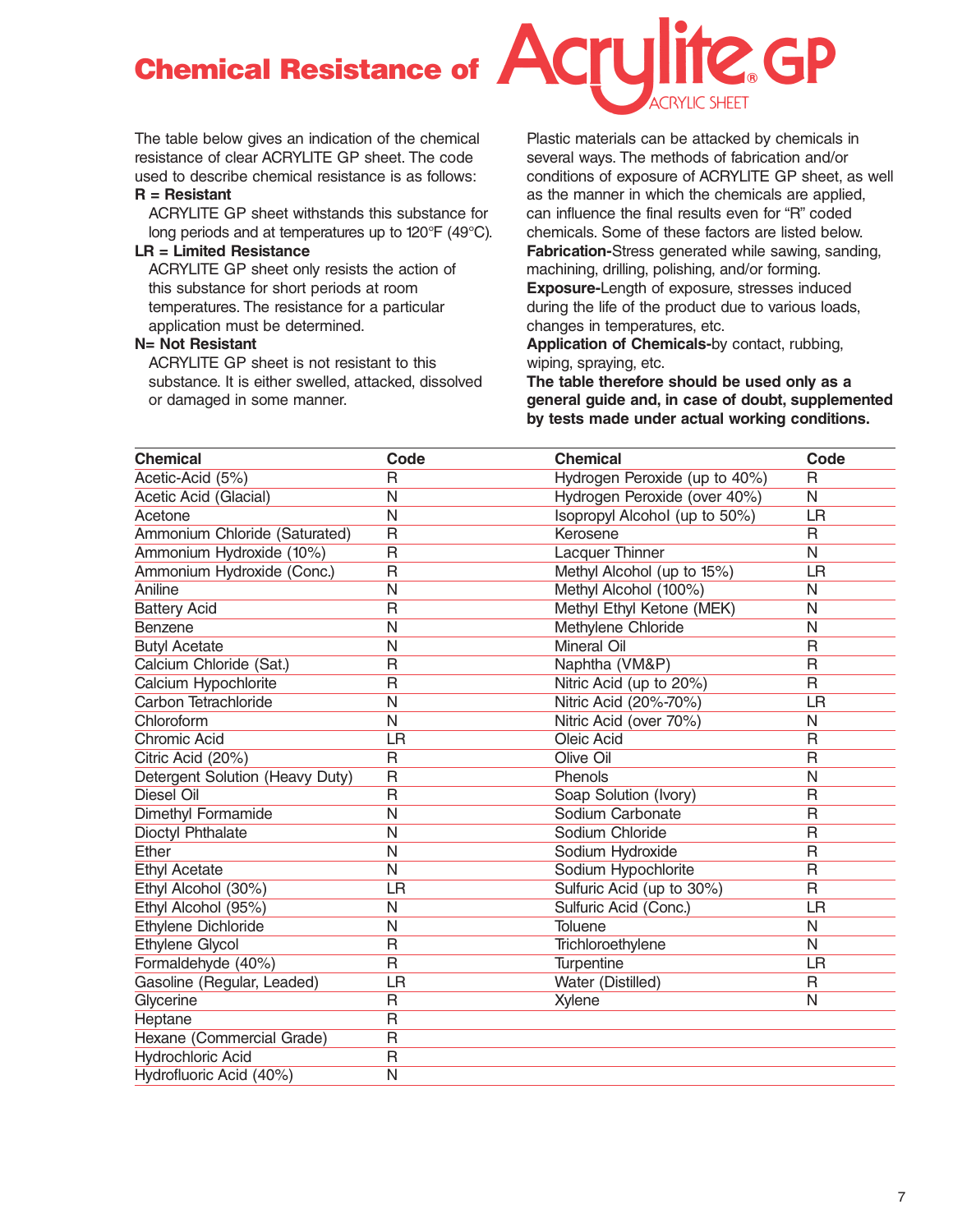## **Chemical Resistance of ACI**

The table below gives an indication of the chemical Plastic materials can be attacked by chemicals in resistance of clear ACRYLITE GP sheet. The code several ways. The methods of fabrication and/or

long periods and at temperatures up to 120°F (49°C). chemicals. Some of these factors are listed below.

application must be determined. changes in temperatures, etc.

ACRYLITE GP sheet is not resistant to this wiping, spraying, etc. substance. It is either swelled, attacked, dissolved **The table therefore should be used only as a**

used to describe chemical resistance is as follows: conditions of exposure of ACRYLITE GP sheet, as well **LR = Limited Resistance Fabrication-**Stress generated while sawing, sanding, temperatures. The resistance for a particular during the life of the product due to various loads,

**N= Not Resistant Application of Chemicals-**by contact, rubbing,

or damaged in some manner. **general guide and, in case of doubt, supplemented by tests made under actual working conditions.**

| <b>Chemical</b>                 | Code           | <b>Chemical</b>               | Code         |
|---------------------------------|----------------|-------------------------------|--------------|
| Acetic-Acid (5%)                | R              | Hydrogen Peroxide (up to 40%) | $\mathsf{R}$ |
| Acetic Acid (Glacial)           | N              | Hydrogen Peroxide (over 40%)  | N            |
| Acetone                         | N              | Isopropyl Alcohol (up to 50%) | LR           |
| Ammonium Chloride (Saturated)   | R              | Kerosene                      | R            |
| Ammonium Hydroxide (10%)        | $\mathsf{R}$   | Lacquer Thinner               | $\mathsf{N}$ |
| Ammonium Hydroxide (Conc.)      | $\overline{R}$ | Methyl Alcohol (up to 15%)    | LR           |
| Aniline                         | N              | Methyl Alcohol (100%)         | N            |
| <b>Battery Acid</b>             | R              | Methyl Ethyl Ketone (MEK)     | N            |
| Benzene                         | N              | Methylene Chloride            | N            |
| <b>Butyl Acetate</b>            | N              | <b>Mineral Oil</b>            | $\mathsf{R}$ |
| Calcium Chloride (Sat.)         | $\mathsf{R}$   | Naphtha (VM&P)                | $\mathsf{R}$ |
| Calcium Hypochlorite            | R              | Nitric Acid (up to 20%)       | $\mathsf{R}$ |
| Carbon Tetrachloride            | N              | Nitric Acid (20%-70%)         | LR           |
| Chloroform                      | N              | Nitric Acid (over 70%)        | N            |
| <b>Chromic Acid</b>             | LR             | Oleic Acid                    | $\mathsf{R}$ |
| Citric Acid (20%)               | R              | Olive Oil                     | R            |
| Detergent Solution (Heavy Duty) | $\mathsf{R}$   | Phenols                       | $\mathsf{N}$ |
| Diesel Oil                      | $\mathsf{R}$   | Soap Solution (Ivory)         | R            |
| Dimethyl Formamide              | N              | Sodium Carbonate              | R            |
| Dioctyl Phthalate               | N              | Sodium Chloride               | R            |
| Ether                           | N              | Sodium Hydroxide              | $\mathsf{R}$ |
| <b>Ethyl Acetate</b>            | N              | Sodium Hypochlorite           | $\mathsf{R}$ |
| Ethyl Alcohol (30%)             | LR             | Sulfuric Acid (up to 30%)     | $\mathsf{R}$ |
| Ethyl Alcohol (95%)             | N              | Sulfuric Acid (Conc.)         | LR           |
| Ethylene Dichloride             | N              | <b>Toluene</b>                | $\mathsf{N}$ |
| <b>Ethylene Glycol</b>          | $\mathsf{R}$   | Trichloroethylene             | $\mathsf{N}$ |
| Formaldehyde (40%)              | $\mathsf R$    | Turpentine                    | LR           |
| Gasoline (Regular, Leaded)      | LR             | Water (Distilled)             | $\mathsf{R}$ |
| Glycerine                       | $\mathsf{R}$   | Xylene                        | N            |
| Heptane                         | $\mathsf{R}$   |                               |              |
| Hexane (Commercial Grade)       | $\mathsf{R}$   |                               |              |
| Hydrochloric Acid               | R              |                               |              |
| Hydrofluoric Acid (40%)         | N              |                               |              |